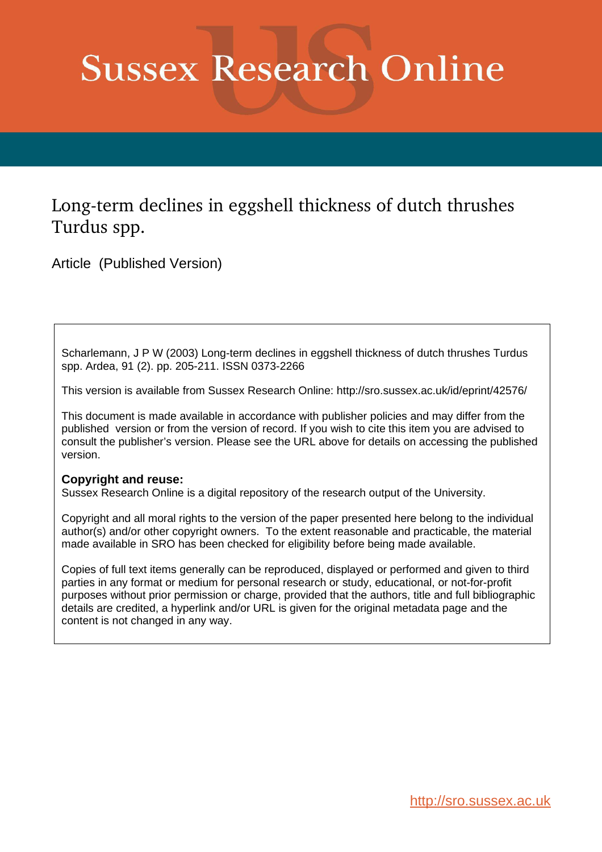# **Sussex Research Online**

# Long-term declines in eggshell thickness of dutch thrushes Turdus spp.

Article (Published Version)

Scharlemann, J P W (2003) Long-term declines in eggshell thickness of dutch thrushes Turdus spp. Ardea, 91 (2). pp. 205-211. ISSN 0373-2266

This version is available from Sussex Research Online: http://sro.sussex.ac.uk/id/eprint/42576/

This document is made available in accordance with publisher policies and may differ from the published version or from the version of record. If you wish to cite this item you are advised to consult the publisher's version. Please see the URL above for details on accessing the published version.

### **Copyright and reuse:**

Sussex Research Online is a digital repository of the research output of the University.

Copyright and all moral rights to the version of the paper presented here belong to the individual author(s) and/or other copyright owners. To the extent reasonable and practicable, the material made available in SRO has been checked for eligibility before being made available.

Copies of full text items generally can be reproduced, displayed or performed and given to third parties in any format or medium for personal research or study, educational, or not-for-profit purposes without prior permission or charge, provided that the authors, title and full bibliographic details are credited, a hyperlink and/or URL is given for the original metadata page and the content is not changed in any way.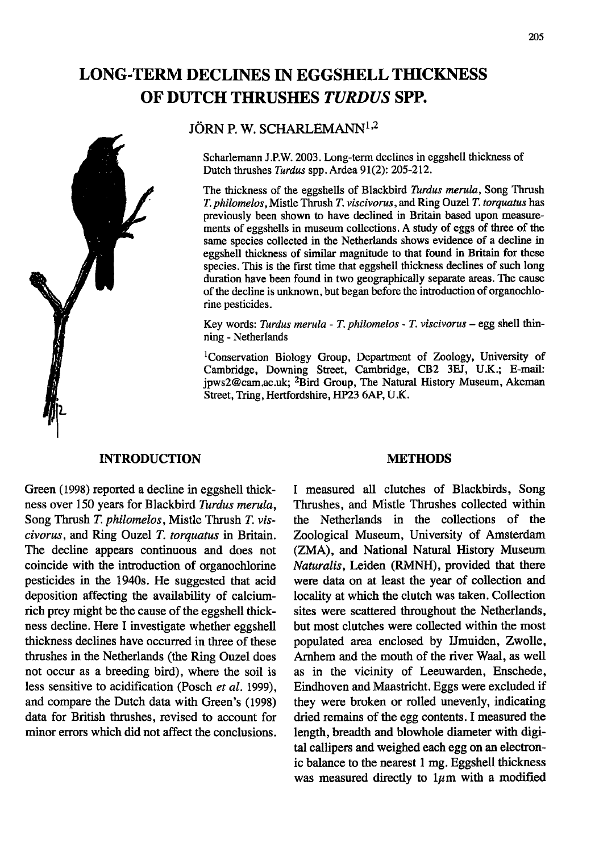## **LONG·TERM DECLINES IN EGGSHELL TffiCKNESS** OF DUTCH THRUSHES TURDUS SPP.



#### JÖRN P.W. SCHARLEMANN<sup>1,2</sup>

Scharlemann J.P.W. 2003. Long-term declines in eggshell thickness of Dutch thrushes *Turdus* spp. Ardea 91(2): 205-212.

The thickness of the eggshells of Blackbird *Turdus merula,* Song Thrush *T. philomelos,* Mistle Thrush *T. viscivorus,* and Ring Ouzel *T. torquatus* has previously been shown to have declined in Britain based upon measurements of eggshells in museum collections. A study of eggs of three of the same species collected in the Netherlands shows evidence of a decline in eggshell thickness of similar magnitude to that found in Britain for these species. This is the first time that eggshell thickness declines of such long duration have been found in two geographically separate areas. The cause of the decline is unknown, but began before the introduction of organochlorine pesticides.

Key words: *Turdus merula* - *T. philomelos* - *T. viscivorus* - egg shell thinning - Netherlands

lConservation Biology Group, Department of Zoology, University of Cambridge, Downing Street, Cambridge, CB2 3EJ, U.K.; E-mail: jpws2@cam.ac.uk; 2Bird Group, The Natural History Museum, Akeman Street, Tring, Hertfordshire, HP23 6AP, U.K.

#### **INTRODUCTION**

Green (1998) reported a decline in eggshell thickness over 150 years for Blackbird *Turdus merula,* Song Thrush *T. philomelos,* Mistle Thrush *T. viscivorus,* and Ring Ouzel *T. torquatus* in Britain. The decline appears continuous and does not coincide with the introduction of organochlorine pesticides in the 1940s. He suggested that acid deposition affecting the availability of calciumrich prey might be the cause of the eggshell thickness decline. Here I investigate whether eggshell thickness declines have occurred in three of these thrushes in the Netherlands (the Ring Ouzel does not occur as a breeding bird), where the soil is less sensitive to acidification (Posch *et al. 1999),* and compare the Dutch data with Green's (1998) data for British thrushes, revised to account for minor errors which did not affect the conclusions.

#### **METHODS**

I measured all clutches of Blackbirds, Song Thrushes, and Mistle Thrushes collected within the Netherlands in the collections of the Zoological Museum, University of Amsterdam (ZMA), and National Natural History Museum *Naturalis,* Leiden (RMNH), provided that there were data on at least the year of collection and locality at which the clutch was taken. Collection sites were scattered throughout the Netherlands, but most clutches were collected within the most populated area enclosed by Umuiden, Zwolle, Arnhem and the mouth of the river Waal, as well as in the vicinity of Leeuwarden, Enschede, Eindhoven and Maastricht. Eggs were excluded if they were broken or rolled unevenly, indicating dried remains of the egg contents. I measured the length, breadth and blowhole diameter with digital callipers and weighed each egg on an electronic balance to the nearest 1 mg. Eggshell thickness was measured directly to  $1\mu$ m with a modified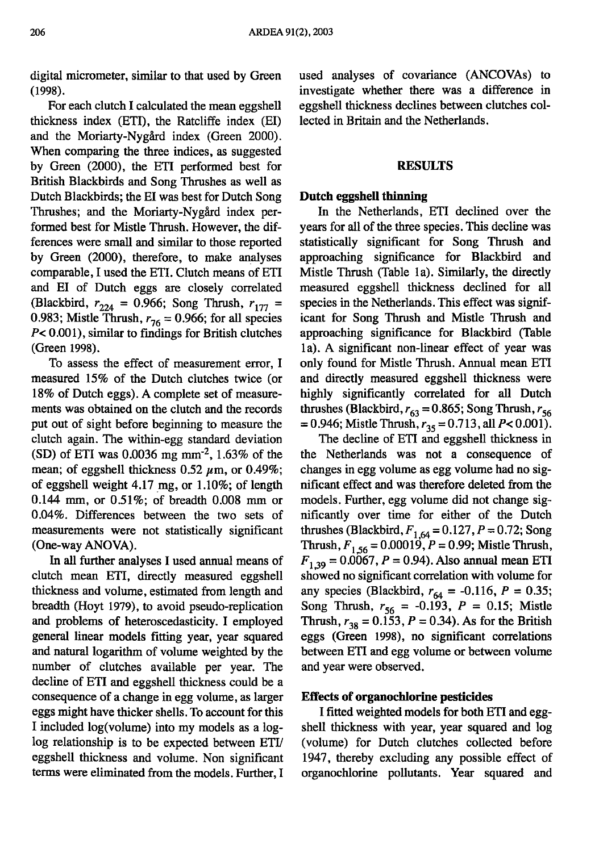digital micrometer, similar to that used by Green (1998).

For each clutch I calculated the mean eggshell thickness index (ETI), the Ratcliffe index (EI) and the Moriarty-Nygård index (Green 2000). When comparing the three indices, as suggested by Green (2000), the ETI performed best for British Blackbirds and Song Thrushes as well as Dutch Blackbirds; the EI was best for Dutch Song Thrushes; and the Moriarty-Nygård index performed best for Mistle Thrush. However, the differences were small and similar to those reported by Green (2000), therefore, to make analyses comparable, I used the ETI. Clutch means of ETI and EI of Dutch eggs are closely correlated (Blackbird,  $r_{224} = 0.966$ ; Song Thrush,  $r_{177} = 0.983$ ; Mistle Thrush,  $r_{76} = 0.966$ ; for all species  $P < 0.001$ ), similar to findings for British clutches (Green 1998).

To assess the effect of measurement error, I measured 15% of the Dutch clutches twice (or 18% of Dutch eggs). A complete set of measurements was obtained on the clutch and the records put out of sight before beginning to measure the clutch again. The within-egg standard deviation (SD) of ETI was 0.0036 mg  $mm^{-2}$ , 1.63% of the mean; of eggshell thickness  $0.52 \mu$ m, or  $0.49\%$ ; of eggshell weight 4.17 mg, or 1.10%; of length 0.144 mm, or  $0.51\%$ ; of breadth 0.008 mm or 0.04%. Differences between the two sets of measurements were not statistically significant (One-way ANOYA).

In all further analyses I used annual means of clutch mean ETI, directly measured eggshell thickness and volume, estimated from length and breadth (Hoyt 1979), to avoid pseudo-replication and problems of heteroscedasticity. I employed general linear models fitting year, year squared and natural logarithm of volume weighted by the number of clutches available per year. The decline of ETI and eggshell thickness could be a consequence of a change in egg volume, as larger eggs might have thicker shells. To account for this I included log(volume) into my models as a loglog relationship is to be expected between ETI/ eggshell thickness and volume. Non significant terms were eliminated from the models. Further, I used analyses of covariance (ANCOYAs) to investigate whether there was a difference in eggshell thickness declines between clutches collected in Britain and the Netherlands.

#### RESULTS

#### Dutch eggshell thinning

In the Netherlands, ETI declined over the years for all of the three species. This decline was statistically significant for Song Thrush and approaching significance for Blackbird and Mistle Thrush (Table la). Similarly, the directly measured eggshell thickness declined for all species in the Netherlands. This effect was significant for Song Thrush and Mistle Thrush and approaching significance for Blackbird (Table 1a). A significant non-linear effect of year was only found for Mistle Thrush. Annual mean ETI and directly measured eggshell thickness were highly significantly correlated for all Dutch thrushes (Blackbird,  $r_{63} = 0.865$ ; Song Thrush,  $r_{56}$  $= 0.946$ ; Mistle Thrush,  $r_{35} = 0.713$ , all  $P < 0.001$ ).

The decline of ETI and eggshell thickness in the Netherlands was not a consequence of changes in egg volume as egg volume had no significant effect and was therefore deleted from the models. Further, egg volume did not change significantly over time for either of the Dutch thrushes (Blackbird,  $F_{1,64} = 0.127$ ,  $P = 0.72$ ; Song Thrush,  $F_{1,56} = 0.00019$ ,  $P = 0.99$ ; Mistle Thrush,  $F_{1,39} = 0.0067$ ,  $P = 0.94$ ). Also annual mean ETI showed no significant correlation with volume for any species (Blackbird,  $r_{64} = -0.116$ ,  $P = 0.35$ ; Song Thrush,  $r_{56} = -0.193$ ,  $P = 0.15$ ; Mistle Thrush,  $r_{38} = 0.153$ ,  $P = 0.34$ ). As for the British eggs (Green 1998), no significant correlations between ETI and egg volume or between volume and year were observed.

#### Effects of organochlorine pesticides

I fitted weighted models for both ETI and eggshell thickness with year, year squared and log (volume) for Dutch clutches collected before 1947, thereby excluding any possible effect of organochlorine pollutants. Year squared and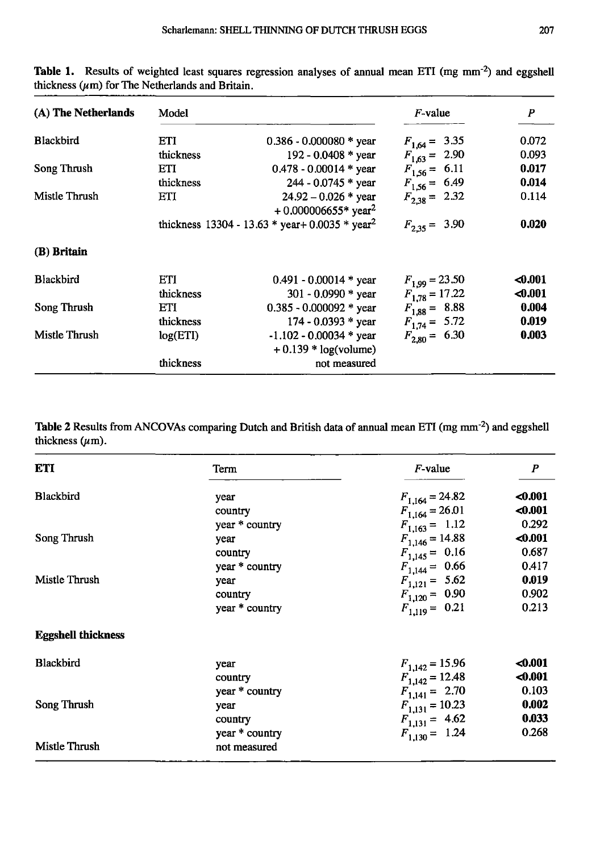| (A) The Netherlands | Model     |                                                             | $F$ -value         | P       |
|---------------------|-----------|-------------------------------------------------------------|--------------------|---------|
| <b>Blackbird</b>    | ETI       | $0.386 - 0.000080$ * year                                   | $F_{1,64} = 3.35$  | 0.072   |
|                     | thickness | 192 - 0.0408 * year                                         | $F_{1,63} = 2.90$  | 0.093   |
| Song Thrush         | ETI       | $0.478 - 0.00014$ * year                                    | $F_{1,56} = 6.11$  | 0.017   |
|                     | thickness | $244 - 0.0745$ * year                                       | $F_{1,56} = 6.49$  | 0.014   |
| Mistle Thrush       | ETI       | $24.92 - 0.026$ * year<br>$+0.000006655*$ year <sup>2</sup> | $F_{2,38} = 2.32$  | 0.114   |
|                     |           | thickness 13304 - 13.63 * year+ 0.0035 * year <sup>2</sup>  | $F_{2,35} = 3.90$  | 0.020   |
| (B) Britain         |           |                                                             |                    |         |
| <b>Blackbird</b>    | ETI       | $0.491 - 0.00014$ * year                                    | $F_{1.99} = 23.50$ | $0.001$ |
|                     | thickness | 301 - 0.0990 * year                                         | $F_{1,78} = 17.22$ | $0.001$ |
| Song Thrush         | ETI       | $0.385 - 0.000092$ * year                                   | $F_{1,88} = 8.88$  | 0.004   |
|                     | thickness | 174 - 0.0393 * year                                         | $F_{1,74} = 5.72$  | 0.019   |
| Mistle Thrush       | log(ETI)  | $-1.102 - 0.00034$ * year                                   | $F_{2.80} = 6.30$  | 0.003   |
|                     |           | $+0.139 * log(volume)$                                      |                    |         |
|                     | thickness | not measured                                                |                    |         |

Table 1. Results of weighted least squares regression analyses of annual mean ETI (mg mm<sup>-2</sup>) and eggshell thickness  $(\mu m)$  for The Netherlands and Britain.

**Table 2** Results from ANCOVAs comparing Dutch and British data of annual mean ETI (mg mm-2) and eggshell thickness  $(\mu m)$ .

| <b>ETI</b>                | Term           | $F$ -value          | P       |
|---------------------------|----------------|---------------------|---------|
| Blackbird                 | year           | $F_{1,164} = 24.82$ | $0.001$ |
|                           | country        | $F_{1,164} = 26.01$ | $0.001$ |
|                           | year * country | $F_{1,163} = 1.12$  | 0.292   |
| Song Thrush               | year           | $F_{1,146} = 14.88$ | $0.001$ |
|                           | country        | $F_{1,145} = 0.16$  | 0.687   |
|                           | year * country | $F_{1,144} = 0.66$  | 0.417   |
| Mistle Thrush             | year           | $F_{1,121} = 5.62$  | 0.019   |
|                           | country        | $F_{1,120} = 0.90$  | 0.902   |
|                           | year * country | $F_{1,119} = 0.21$  | 0.213   |
| <b>Eggshell thickness</b> |                |                     |         |
| Blackbird                 | year           | $F_{1,142} = 15.96$ | $0.001$ |
|                           | country        | $F_{1,142} = 12.48$ | $0.001$ |
|                           | year * country | $F_{1,141} = 2.70$  | 0.103   |
| Song Thrush               | year           | $F_{1,131} = 10.23$ | 0.002   |
|                           | country        | $F_{1,131} = 4.62$  | 0.033   |
|                           | year * country | $F_{1,130} = 1.24$  | 0.268   |
| Mistle Thrush             | not measured   |                     |         |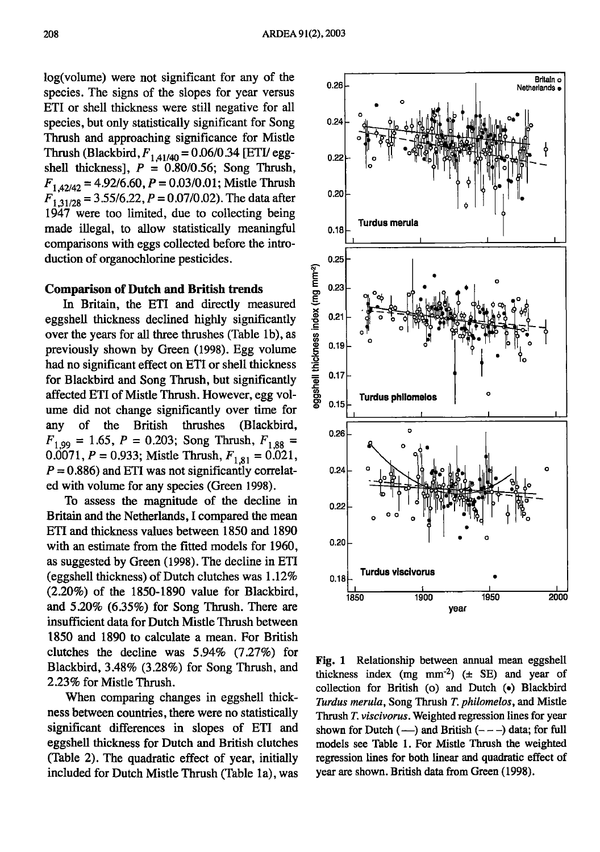log(volume) were not significant for any of the species. The signs of the slopes for year versus ETI or shell thickness were still negative for all species, but only statistically significant for Song Thrush and approaching significance for Mistle Thrush (Blackbird,  $F_{1,41/40} = 0.06/0.34$  [ETI/ eggshell thickness],  $P = 0.80/0.56$ ; Song Thrush,  $F_{1,42/42} = 4.92/6.60$ ,  $P = 0.03/0.01$ ; Mistle Thrush  $F_{1,31/28} = 3.55/6.22, P = 0.07/0.02$ . The data after 1947 were too limited, due to collecting being made illegal, to allow statistically meaningful comparisons with eggs collected before the introduction of organochlorine pesticides.

#### Comparison of Dutch and British trends

In Britain, the ETI and directly measured eggshell thickness declined highly significantly over the years for all three thrushes (Table 1b), as previously shown by Green (1998). Egg volume had no significant effect on ETI or shell thickness for Blackbird and Song Thrush, but significantly affected ETI of Mistle Thrush. However, egg volume did not change significantly over time for any of the British thrushes (Blackbird,  $F_{1,99} = 1.65$ ,  $P = 0.203$ ; Song Thrush,  $F_{1,88} =$  $0.0071$ ,  $P = 0.933$ ; Mistle Thrush,  $F_{1,81} = 0.021$ ,  $P = 0.886$ ) and ETI was not significantly correlated with volume for any species (Green 1998).

To assess the magnitude of the decline in Britain and the Netherlands, I compared the mean ETI and thickness values between 1850 and 1890 with an estimate from the fitted models for 1960, as suggested by Green (1998). The decline in ETI (eggshell thickness) of Dutch clutches was 1.12% (2.20%) of the 1850-1890 value for Blackbird, and 5.20% (6.35%) for Song Thrush. There are insufficient data for Dutch Mistle Thrush between 1850 and 1890 to calculate a mean. For British clutches the decline was 5.94% (7.27%) for Blackbird, 3.48% (3.28%) for Song Thrush, and 2.23% for Mistle Thrush.

When comparing changes in eggshell thickness between countries, there were no statistically significant differences in slopes of ETI and eggshell thickness for Dutch and British clutches (Table 2). The quadratic effect of year, initially included for Dutch Mistle Thrush (Table 1a), was



Fig. 1 Relationship between annual mean eggshell thickness index (mg mm<sup>-2</sup>) ( $\pm$  SE) and year of collection for British (0) and Dutch (e) Blackbird *Turdus merula,* Song Thrush *T. philomelos,* and Mistle Thrush *T. viscivorus.* Weighted regression lines for year shown for Dutch  $(-)$  and British  $(- -)$  data; for full models see Table I. For Mistle Thrush the weighted regression lines for both linear and quadratic effect of year are shown. British data from Green (1998).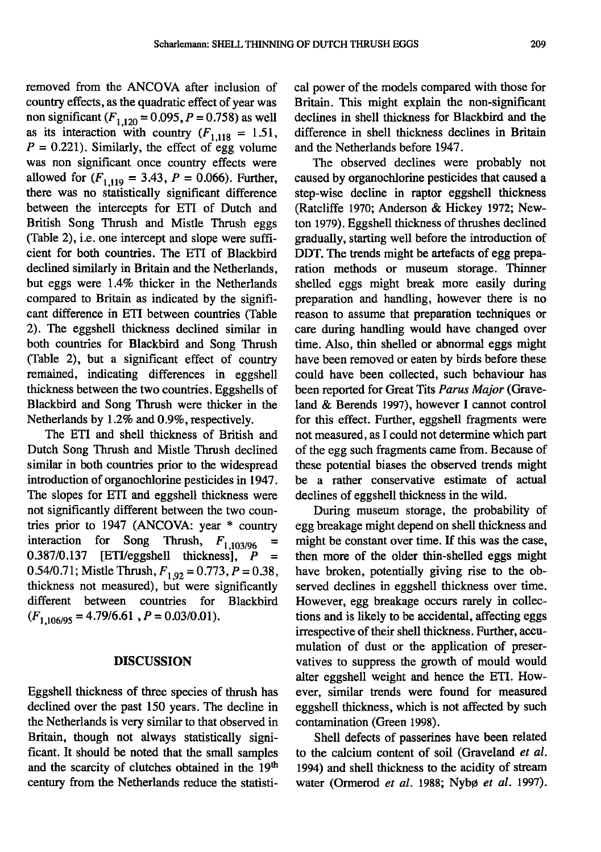removed from the ANCOVA after inclusion of country effects, as the quadratic effect of year was non significant  $(F_{1,120} = 0.095, P = 0.758)$  as well as its interaction with country  $(F_{1,118} = 1.51,$  $P = 0.221$ . Similarly, the effect of egg volume was non significant once country effects were allowed for  $(F_{1,119} = 3.43, P = 0.066)$ . Further, there was no statistically significant difference between the intercepts for ETI of Dutch and British Song Thrush and Mistle Thrush eggs (Table 2), i.e. one intercept and slope were sufficient for both countries. The ETI of Blackbird declined similarly in Britain and the Netherlands, but eggs were 1.4% thicker in the Netherlands compared to Britain as indicated by the significant difference in ETI between countries (Table 2). The eggshell thickness declined similar in both countries for Blackbird and Song Thrush (Table 2), but a significant effect of country remained, indicating differences in eggshell thickness between the two countries. Eggshells of Blackbird and Song Thrush were thicker in the Netherlands by 1.2% and 0.9%, respectively.

The ETI and shell thickness of British and Dutch Song Thrush and Mistle Thrush declined similar in both countries prior to the widespread introduction of organochlorine pesticides in 1947. The slopes for ETI and eggshell thickness were not significantly different between the two countries prior to 1947 (ANCOVA: year \* country interaction for Song Thrush, <sup>F</sup>*<sup>i</sup> ,103/96 <sup>=</sup>* 0.387/0.137 [ETI/eggshell thickness], *<sup>P</sup> <sup>=</sup>* 0.54/0.71; Mistle Thrush,  $F_{1,92} = 0.773$ ,  $P = 0.38$ , thickness not measured), but were significantly different between countries for Blackbird  $(F_{1,106/95} = 4.79/6.61, P = 0.03/0.01).$ 

#### **DISCUSSION**

Eggshell thickness of three species of thrush has declined over the past 150 years. The decline in the Netherlands is very similar to that observed in Britain, though not always statistically significant. It should be noted that the small samples and the scarcity of clutches obtained in the 19<sup>th</sup> century from the Netherlands reduce the statistical power of the models compared with those for Britain. This might explain the non-significant declines in shell thickness for Blackbird and the difference in shell thickness declines in Britain and the Netherlands before 1947.

The observed declines were probably not caused by organochlorine pesticides that caused a step-wise decline in raptor eggshell thickness (Ratcliffe 1970; Anderson & Hickey 1972; Newton 1979). Eggshell thickness of thrushes declined gradually, starting well before the introduction of DDT. The trends might be artefacts of egg preparation methods or museum storage. Thinner shelled eggs might break more easily during preparation and handling, however there is no reason to assume that preparation techniques or care during handling would have changed over time. Also, thin shelled or abnormal eggs might have been removed or eaten by birds before these could have been collected, such behaviour has been reported for Great Tits *Parus Major* (Graveland & Berends 1997), however I cannot control for this effect. Further, eggshell fragments were not measured, as I could not determine which part of the egg such fragments came from. Because of these potential biases the observed trends might be a rather conservative estimate of actual declines of eggshell thickness in the wild.

During museum storage, the probability of egg breakage might depend on shell thickness and might be constant over time. If this was the case, then more of the older thin-shelled eggs might have broken, potentially giving rise to the observed declines in eggshell thickness over time. However, egg breakage occurs rarely in collections and is likely to be accidental, affecting eggs irrespective of their shell thickness. Further, accumulation of dust or the application of preservatives to suppress the growth of mould would alter eggshell weight and hence the ETI. However, similar trends were found for measured eggshell thickness, which is not affected by such contamination (Green 1998).

Shell defects of passerines have been related to the calcium content of soil (Graveland *et at.* 1994) and shell thickness to the acidity of stream water (Ormerod *et al.* 1988; Nybø *et al.* 1997).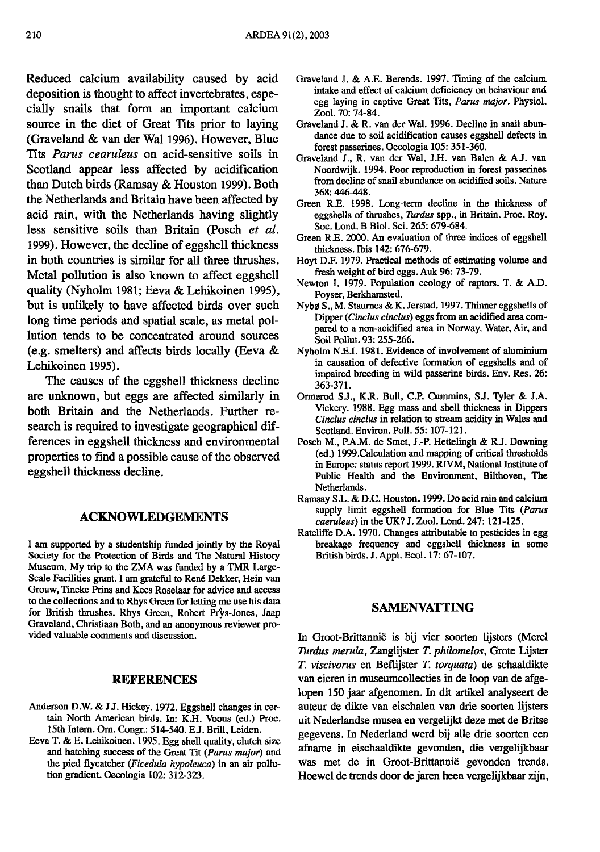Reduced calcium availability caused by acid deposition is thought to affect invertebrates, especially snails that form an important calcium source in the diet of Great Tits prior to laying (Graveland & van der Wal 1996). However, Blue Tits *Parus cearuleus* on acid-sensitive soils in Scotland appear less affected by acidification than Dutch birds (Ramsay & Houston 1999). Both the Netherlands and Britain have been affected by acid rain, with the Netherlands having slightly less sensitive soils than Britain (Posch *et al.* 1999). However, the decline of eggshell thickness in both countries is similar for all three thrushes. Metal pollution is also known to affect eggshell quality (Nyholm 1981; £eva & Lehikoinen 1995), but is unlikely to have affected birds over such long time periods and spatial scale, as metal pollution tends to be concentrated around sources (e.g. smelters) and affects birds locally (Eeva & Lehikoinen 1995).

The causes of the eggshell thickness decline are unknown, but eggs are affected similarly in both Britain and the Netherlands. Further research is required to investigate geographical differences in eggshell thickness and environmental properties to find a possible cause of the observed eggshell thickness decline.

#### **ACKNOWLEDGEMENTS**

I am supported by a studentship funded jointly by the Royal Society for the Protection of Birds and The Natural History Museum. My trip to the ZMA was funded by a TMR Large-Scale Facilities grant. I am grateful to René Dekker, Hein van Grouw, Tineke Prins and Kees Roselaar for advice and access to the collections and to Rhys Green for letting me use his data for British thrushes. Rhys Green, Robert Prys-Jones, Jaap Graveland, Christiaan Both, and an anonymous reviewer provided valuable comments and discussion.

#### **REFERENCES**

- Anderson D.W. & JJ. Hickey. 1972. Eggshell changes in certain North American birds. In: K.H. Voous (ed.) Proc. 15th Intern. Om. Congr.: 514-540. El. Brill, Leiden.
- Eeva T. & E. Lehikoinen. 1995. Egg shell quality, clutch size and hatching success of the Great Tit *(Parus major)* and the pied flycatcher *(Ficedula hypoleuca)* in an air pollution gradient. Oecologia 102: 312-323.
- Graveland 1. & AE. Berends. 1997. Timing of the calcium intake and effect of calcium deficiency on behaviour and egg laying in captive Great Tits, *Parus major.* Physio1. Zool. 70: 74-84.
- Graveland J. & R. van der Wal. 1996. Decline in snail abundance due to soil acidification causes eggshell defects in forest passerines. Oecologia 105: 351-360.
- Graveland J., R. van der Wal, J.H. van Balen & A.J. van Noordwijk. 1994. Poor reproduction in forest passerines from decline of snail abundance on acidified soils. Nature 368: 446-448.
- Green R.E. 1998. Long-term decline in the thickness of eggshells of thrushes, *Turdus* spp., in Britain. Proc. Roy. Soc. Lond. B BioI. Sci. 265: 679-684.
- Green *RE.* 2000. An evaluation of three indices of eggshell thickness. Ibis 142: 676-679.
- Hoyt DF. 1979. Practical methods of estimating volume and fresh weight of bird eggs. Auk 96: 73-79.
- Newton I. 1979. Population ecology of raptors. T. & AD. Poyser, Berkhamsted.
- Nybø S., M. Staurnes & K. Jerstad. 1997. Thinner eggshells of Dipper *(Cinelus cinelus)* eggs from an acidified area compared to a non-acidified area in Norway. Water, Air, and Soil Pollut. 93: 255-266.
- Nyholm N*El.* 1981. Evidence of involvement of aluminium in causation of defective formation of eggshells and of impaired breeding in wild passerine birds. Env. Res. 26: 363-371.
- Ormerod S.J., K.R. Bull, C.P. Cummins, S.J. Tyler & J.A. Vickery. 1988. Egg mass and shell thickness in Dippers *Cinelus cinclus* in relation to stream acidity in Wales and Scotland. Environ. Poll. 55: 107-121.
- Posch M., P.A.M. de Smet, J.-P. Hettelingh & R.J. Downing (ed.) 1999.Calculation and mapping of critical thresholds in Europe: status report 1999. RIVM, National Institute of Public Health and the Environment, Bilthoven, The Netberlands.
- Ramsay SL. & D.C. Houston. 1999. Do acid rain and calcium supply limit eggshell formation for Blue Tits *(Parus caeruleus)* in the UK? J. Zooi. Lond. 247: 121-125.
- Ratcliffe DA. 1970. Changes attributable to pesticides in egg breakage frequency and eggshell thickness in some British birds. 1. App1. Eco1.17: 67-107.

#### **SAMENVATTING**

In Groot-Brittannie is bij vier soorten lijsters (Merel *Turdus merula,* Zanglijster *T. philomelos,* Grote Lijster *T. viscivorus* en Beflijster *T. torquata)* de schaaldikte van eieren in museumcolIecties in de loop van de afgelopen ISO jaar afgenomen. In dit artikel analyseert de auteur de dikte van eischalen van drie soorten lijsters uit Nederlandse musea en vergelijkt deze met de Britse gegevens. In Nederland werd bij alle drie soorten een afname in eischaaldikte gevonden, die vergelijkbaar was met de in Groot-Brittannie gevonden trends. Hoewel de trends door de jaren heen vergelijkbaar zijn,